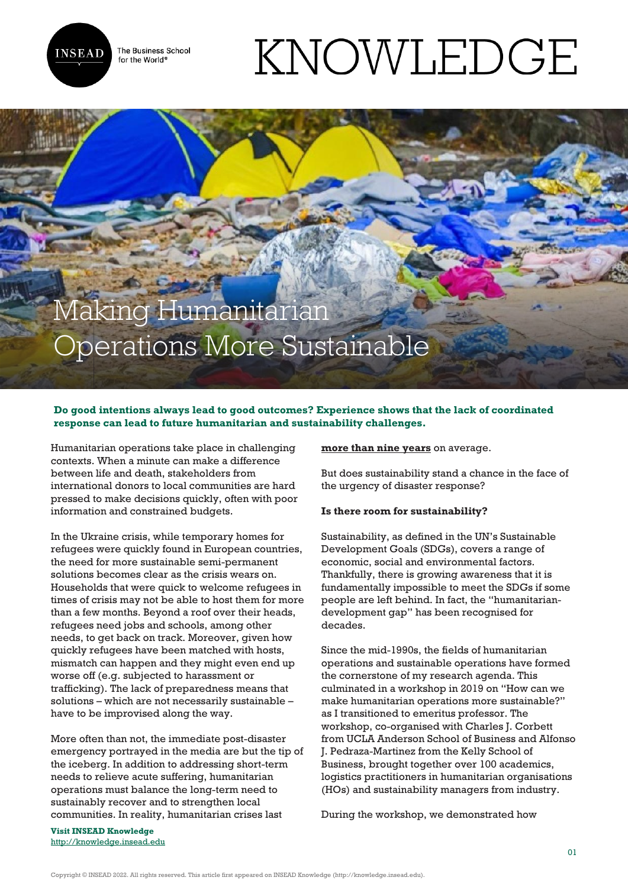

The Business School for the World<sup>®</sup>

# KNOWLEDGE

# Making Humanitarian Operations More Sustainable

# **Do good intentions always lead to good outcomes? Experience shows that the lack of coordinated response can lead to future humanitarian and sustainability challenges.**

Humanitarian operations take place in challenging contexts. When a minute can make a difference between life and death, stakeholders from international donors to local communities are hard pressed to make decisions quickly, often with poor information and constrained budgets.

In the Ukraine crisis, while temporary homes for refugees were quickly found in European countries, the need for more sustainable semi-permanent solutions becomes clear as the crisis wears on. Households that were quick to welcome refugees in times of crisis may not be able to host them for more than a few months. Beyond a roof over their heads, refugees need jobs and schools, among other needs, to get back on track. Moreover, given how quickly refugees have been matched with hosts, mismatch can happen and they might even end up worse off (e.g. subjected to harassment or trafficking). The lack of preparedness means that solutions – which are not necessarily sustainable – have to be improvised along the way.

More often than not, the immediate post-disaster emergency portrayed in the media are but the tip of the iceberg. In addition to addressing short-term needs to relieve acute suffering, humanitarian operations must balance the long-term need to sustainably recover and to strengthen local communities. In reality, humanitarian crises last

**[more than nine years](https://www.unocha.org/story/us219-billion-needed-2019-average-length-humanitarian-crises-climbs)** on average.

But does sustainability stand a chance in the face of the urgency of disaster response?

## **Is there room for sustainability?**

Sustainability, as defined in the UN's Sustainable Development Goals (SDGs), covers a range of economic, social and environmental factors. Thankfully, there is growing awareness that it is fundamentally impossible to meet the SDGs if some people are left behind. In fact, the "humanitariandevelopment gap" has been recognised for decades.

Since the mid-1990s, the fields of humanitarian operations and sustainable operations have formed the cornerstone of my research agenda. This culminated in a workshop in 2019 on "How can we make humanitarian operations more sustainable?" as I transitioned to emeritus professor. The workshop, co-organised with Charles J. Corbett from UCLA Anderson School of Business and Alfonso J. Pedraza-Martinez from the Kelly School of Business, brought together over 100 academics, logistics practitioners in humanitarian organisations (HOs) and sustainability managers from industry.

During the workshop, we demonstrated how

**Visit INSEAD Knowledge** <http://knowledge.insead.edu>

Copyright © INSEAD 2022. All rights reserved. This article first appeared on INSEAD Knowledge (http://knowledge.insead.edu).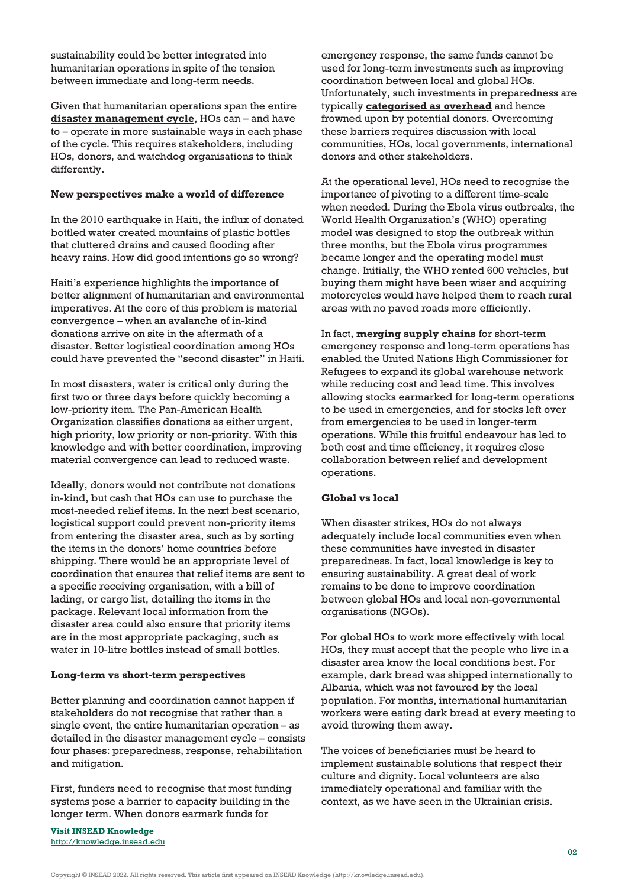sustainability could be better integrated into humanitarian operations in spite of the tension between immediate and long-term needs.

Given that humanitarian operations span the entire **[disaster management cycle](https://onlinelibrary.wiley.com/doi/full/10.1111/poms.13579)**, HOs can – and have to – operate in more sustainable ways in each phase of the cycle. This requires stakeholders, including HOs, donors, and watchdog organisations to think differently.

#### **New perspectives make a world of difference**

In the 2010 earthquake in Haiti, the influx of donated bottled water created mountains of plastic bottles that cluttered drains and caused flooding after heavy rains. How did good intentions go so wrong?

Haiti's experience highlights the importance of better alignment of humanitarian and environmental imperatives. At the core of this problem is material convergence – when an avalanche of in-kind donations arrive on site in the aftermath of a disaster. Better logistical coordination among HOs could have prevented the "second disaster" in Haiti.

In most disasters, water is critical only during the first two or three days before quickly becoming a low-priority item. The Pan-American Health Organization classifies donations as either urgent, high priority, low priority or non-priority. With this knowledge and with better coordination, improving material convergence can lead to reduced waste.

Ideally, donors would not contribute not donations in-kind, but cash that HOs can use to purchase the most-needed relief items. In the next best scenario, logistical support could prevent non-priority items from entering the disaster area, such as by sorting the items in the donors' home countries before shipping. There would be an appropriate level of coordination that ensures that relief items are sent to a specific receiving organisation, with a bill of lading, or cargo list, detailing the items in the package. Relevant local information from the disaster area could also ensure that priority items are in the most appropriate packaging, such as water in 10-litre bottles instead of small bottles.

#### **Long-term vs short-term perspectives**

Better planning and coordination cannot happen if stakeholders do not recognise that rather than a single event, the entire humanitarian operation – as detailed in the disaster management cycle – consists four phases: preparedness, response, rehabilitation and mitigation.

First, funders need to recognise that most funding systems pose a barrier to capacity building in the longer term. When donors earmark funds for

**Visit INSEAD Knowledge** <http://knowledge.insead.edu>

emergency response, the same funds cannot be used for long-term investments such as improving coordination between local and global HOs. Unfortunately, such investments in preparedness are typically **[categorised as overhead](https://onlinelibrary.wiley.com/doi/abs/10.1111/poms.13750)** and hence frowned upon by potential donors. Overcoming these barriers requires discussion with local communities, HOs, local governments, international donors and other stakeholders.

At the operational level, HOs need to recognise the importance of pivoting to a different time-scale when needed. During the Ebola virus outbreaks, the World Health Organization's (WHO) operating model was designed to stop the outbreak within three months, but the Ebola virus programmes became longer and the operating model must change. Initially, the WHO rented 600 vehicles, but buying them might have been wiser and acquiring motorcycles would have helped them to reach rural areas with no paved roads more efficiently.

In fact, **[merging supply chains](https://www.sciencedirect.com/science/article/pii/S0272696316300444)** for short-term emergency response and long-term operations has enabled the United Nations High Commissioner for Refugees to expand its global warehouse network while reducing cost and lead time. This involves allowing stocks earmarked for long-term operations to be used in emergencies, and for stocks left over from emergencies to be used in longer-term operations. While this fruitful endeavour has led to both cost and time efficiency, it requires close collaboration between relief and development operations.

## **Global vs local**

When disaster strikes, HOs do not always adequately include local communities even when these communities have invested in disaster preparedness. In fact, local knowledge is key to ensuring sustainability. A great deal of work remains to be done to improve coordination between global HOs and local non-governmental organisations (NGOs).

For global HOs to work more effectively with local HOs, they must accept that the people who live in a disaster area know the local conditions best. For example, dark bread was shipped internationally to Albania, which was not favoured by the local population. For months, international humanitarian workers were eating dark bread at every meeting to avoid throwing them away.

The voices of beneficiaries must be heard to implement sustainable solutions that respect their culture and dignity. Local volunteers are also immediately operational and familiar with the context, as we have seen in the Ukrainian crisis.

Copyright © INSEAD 2022. All rights reserved. This article first appeared on INSEAD Knowledge (http://knowledge.insead.edu).